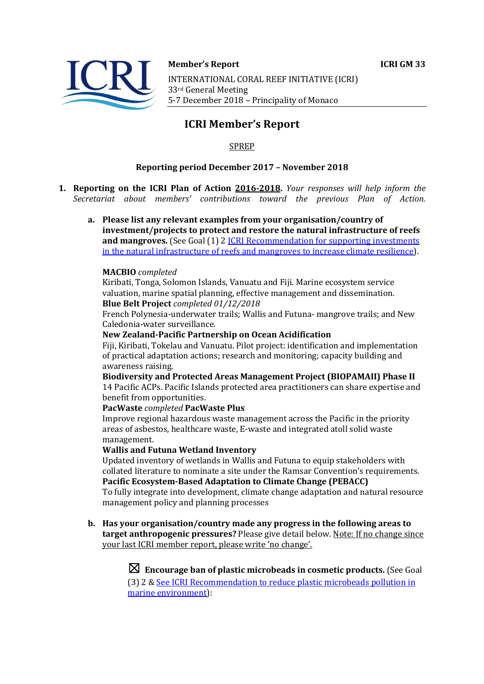



#### **Member's Report ICRI GM 33**

INTERNATIONAL CORAL REEF INITIATIVE (ICRI) 33rd General Meeting 5-7 December 2018 - Principality of Monaco

# **ICRI Member's Report**

## SPREP

## **Reporting period December 2017 - November 2018**

- **1. Reporting on the ICRI Plan of Action 2016-2018.** *Your responses will help inform the Secretariat about members' contributions toward the previous Plan of Action.*
	- a. Please list any relevant examples from your organisation/country of **investment/projects to protect and restore the natural infrastructure of reefs and mangroves.** (See Goal (1) 2 *ICRI Recommendation for supporting investments* in the natural infrastructure of reefs and mangroves to increase climate resilience).

#### **MACBIO** *completed*

Kiribati, Tonga, Solomon Islands, Vanuatu and Fiji. Marine ecosystem service valuation, marine spatial planning, effective management and dissemination. **Blue Belt Project** *completed 01/12/2018*

French Polynesia-underwater trails; Wallis and Futuna- mangrove trails; and New Caledonia-water surveillance.

#### **New Zealand-Pacific Partnership on Ocean Acidification**

Fiji, Kiribati, Tokelau and Vanuatu. Pilot project: identification and implementation of practical adaptation actions; research and monitoring; capacity building and awareness raising.

**Biodiversity and Protected Areas Management Project (BIOPAMAII) Phase II** 14 Pacific ACPs. Pacific Islands protected area practitioners can share expertise and benefit from opportunities.

#### **PacWaste** *completed* **PacWaste Plus**

Improve regional hazardous waste management across the Pacific in the priority areas of asbestos, healthcare waste, E-waste and integrated atoll solid waste management.

#### **Wallis and Futuna Wetland Inventory**

Updated inventory of wetlands in Wallis and Futuna to equip stakeholders with collated literature to nominate a site under the Ramsar Convention's requirements. **Pacific Ecosystem-Based Adaptation to Climate Change (PEBACC)** 

To fully integrate into development, climate change adaptation and natural resource management policy and planning processes

**b.** Has your organisation/country made any progress in the following areas to target anthropogenic pressures? Please give detail below. Note: If no change since your last ICRI member report, please write 'no change'.

> $\boxtimes$  Encourage ban of plastic microbeads in cosmetic products. (See Goal (3) 2 & See ICRI Recommendation to reduce plastic microbeads pollution in marine environment):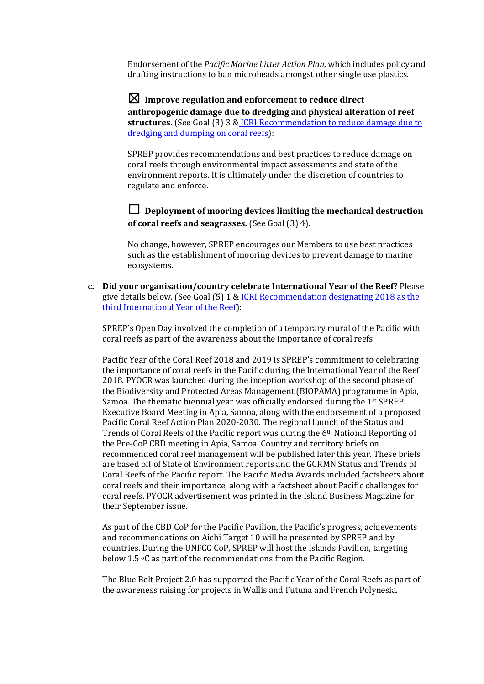Endorsement of the *Pacific Marine Litter Action Plan*, which includes policy and drafting instructions to ban microbeads amongst other single use plastics.

 $\boxtimes$  Improve regulation and enforcement to reduce direct anthropogenic damage due to dredging and physical alteration of reef **structures.** (See Goal (3) 3 & ICRI Recommendation to reduce damage due to dredging and dumping on coral reefs):

SPREP provides recommendations and best practices to reduce damage on coral reefs through environmental impact assessments and state of the environment reports. It is ultimately under the discretion of countries to regulate and enforce.

 $\Box$  Deployment of mooring devices limiting the mechanical destruction **of coral reefs and seagrasses.** (See Goal (3) 4).

No change, however, SPREP encourages our Members to use best practices such as the establishment of mooring devices to prevent damage to marine ecosystems. 

**c. Did your organisation/country celebrate International Year of the Reef?** Please give details below. (See Goal  $(5)$  1 & ICRI Recommendation designating 2018 as the third International Year of the Reef):

SPREP's Open Day involved the completion of a temporary mural of the Pacific with coral reefs as part of the awareness about the importance of coral reefs.

Pacific Year of the Coral Reef 2018 and 2019 is SPREP's commitment to celebrating the importance of coral reefs in the Pacific during the International Year of the Reef 2018. PYOCR was launched during the inception workshop of the second phase of the Biodiversity and Protected Areas Management (BIOPAMA) programme in Apia, Samoa. The thematic biennial year was officially endorsed during the 1<sup>st</sup> SPREP Executive Board Meeting in Apia, Samoa, along with the endorsement of a proposed Pacific Coral Reef Action Plan 2020-2030. The regional launch of the Status and Trends of Coral Reefs of the Pacific report was during the  $6<sup>th</sup>$  National Reporting of the Pre-CoP CBD meeting in Apia, Samoa. Country and territory briefs on recommended coral reef management will be published later this year. These briefs are based off of State of Environment reports and the GCRMN Status and Trends of Coral Reefs of the Pacific report. The Pacific Media Awards included factsheets about coral reefs and their importance, along with a factsheet about Pacific challenges for coral reefs. PYOCR advertisement was printed in the Island Business Magazine for their September issue.

As part of the CBD CoP for the Pacific Pavilion, the Pacific's progress, achievements and recommendations on Aichi Target 10 will be presented by SPREP and by countries. During the UNFCC CoP, SPREP will host the Islands Pavilion, targeting below 1.5  $\circ$ C as part of the recommendations from the Pacific Region.

The Blue Belt Project 2.0 has supported the Pacific Year of the Coral Reefs as part of the awareness raising for projects in Wallis and Futuna and French Polynesia.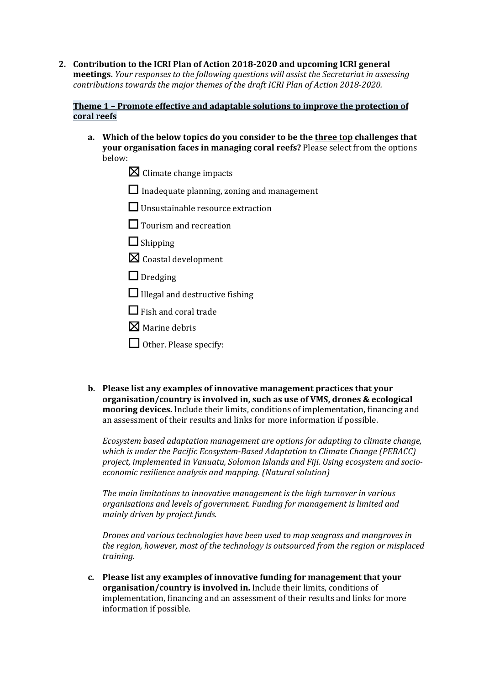**2.** Contribution to the ICRI Plan of Action 2018-2020 and upcoming ICRI general **meetings.** *Your responses to the following questions will assist the Secretariat in assessing contributions towards the major themes of the draft ICRI Plan of Action 2018-2020.* 

## **Theme 1 - Promote effective and adaptable solutions to improve the protection of coral reefs**

- a. Which of the below topics do you consider to be the three top challenges that **your organisation faces in managing coral reefs?** Please select from the options below:
	- $\boxtimes$  Climate change impacts
	- $\Box$  Inadequate planning, zoning and management
	- $\Box$  Unsustainable resource extraction
	- $\Box$  Tourism and recreation
	- $\Box$  Shipping
	- $\boxtimes$  Coastal development
	- $\Box$  Dredging
	- $\Box$  Illegal and destructive fishing
	- $\Box$  Fish and coral trade
	- $\boxtimes$  Marine debris
	- $\Box$  Other. Please specify:
- **b.** Please list any examples of innovative management practices that your **organisation/country is involved in, such as use of VMS, drones & ecological mooring devices.** Include their limits, conditions of implementation, financing and an assessment of their results and links for more information if possible.

*Ecosystem based adaptation management are options for adapting to climate change, which is under the Pacific Ecosystem-Based Adaptation to Climate Change (PEBACC)* project, implemented in Vanuatu, Solomon Islands and Fiji. Using ecosystem and socio*economic resilience analysis and mapping. (Natural solution)* 

*The main limitations to innovative management is the high turnover in various organisations and levels of government. Funding for management is limited and mainly driven by project funds.* 

*Drones and various technologies have been used to map seagrass and mangroves in* the region, however, most of the technology is outsourced from the region or misplaced *training.*

c. Please list any examples of innovative funding for management that your **organisation/country is involved in.** Include their limits, conditions of implementation, financing and an assessment of their results and links for more information if possible.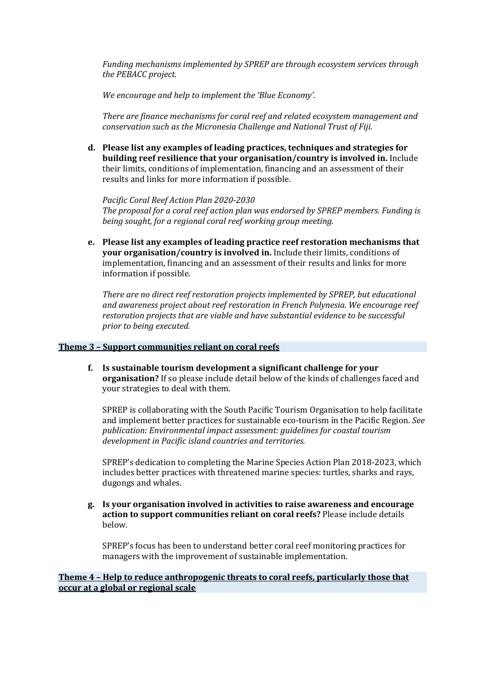*Funding mechanisms implemented by SPREP are through ecosystem services through* the PEBACC project.

*We encourage and help to implement the 'Blue Economy'.* 

*There are finance mechanisms for coral reef and related ecosystem management and conservation such as the Micronesia Challenge and National Trust of Fiji.* 

d. Please list any examples of leading practices, techniques and strategies for **building reef resilience that your organisation/country is involved in.** Include their limits, conditions of implementation, financing and an assessment of their results and links for more information if possible.

Pacific Coral Reef Action Plan 2020-2030 The proposal for a coral reef action plan was endorsed by SPREP members. Funding is *being sought, for a regional coral reef working group meeting.* 

**e.** Please list any examples of leading practice reef restoration mechanisms that **your organisation/country is involved in.** Include their limits, conditions of implementation, financing and an assessment of their results and links for more information if possible.

*There are no direct reef restoration projects implemented by SPREP, but educational* and awareness project about reef restoration in French Polynesia. We encourage reef *restoration projects that are viable and have substantial evidence to be successful prior to being executed.* 

#### **Theme 3 - Support communities reliant on coral reefs**

**f.** Is sustainable tourism development a significant challenge for your **organisation?** If so please include detail below of the kinds of challenges faced and your strategies to deal with them.

SPREP is collaborating with the South Pacific Tourism Organisation to help facilitate and implement better practices for sustainable eco-tourism in the Pacific Region. See publication: Environmental impact assessment: guidelines for coastal tourism development in Pacific island countries and territories.

SPREP's dedication to completing the Marine Species Action Plan 2018-2023, which includes better practices with threatened marine species: turtles, sharks and rays, dugongs and whales.

**g. Is your organisation involved in activities to raise awareness and encourage**  action to support communities reliant on coral reefs? Please include details below.

SPREP's focus has been to understand better coral reef monitoring practices for managers with the improvement of sustainable implementation.

### **Theme 4 - Help to reduce anthropogenic threats to coral reefs, particularly those that occur at a global or regional scale**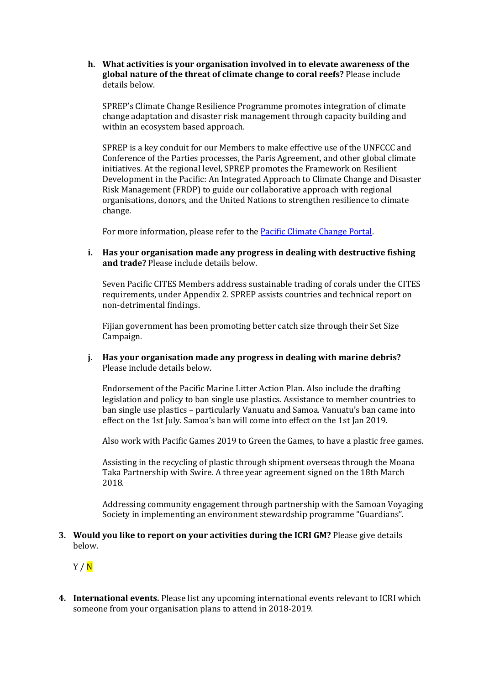**h.** What activities is your organisation involved in to elevate awareness of the global nature of the threat of climate change to coral reefs? Please include details below.

SPREP's Climate Change Resilience Programme promotes integration of climate change adaptation and disaster risk management through capacity building and within an ecosystem based approach.

SPREP is a key conduit for our Members to make effective use of the UNFCCC and Conference of the Parties processes, the Paris Agreement, and other global climate initiatives. At the regional level, SPREP promotes the Framework on Resilient Development in the Pacific: An Integrated Approach to Climate Change and Disaster Risk Management (FRDP) to guide our collaborative approach with regional organisations, donors, and the United Nations to strengthen resilience to climate change.

For more information, please refer to the **Pacific Climate Change Portal**.

**i.** Has your organisation made any progress in dealing with destructive fishing and trade? Please include details below.

Seven Pacific CITES Members address sustainable trading of corals under the CITES requirements, under Appendix 2. SPREP assists countries and technical report on non-detrimental findings.

Fijian government has been promoting better catch size through their Set Size Campaign. 

**j.** Has your organisation made any progress in dealing with marine debris? Please include details below.

Endorsement of the Pacific Marine Litter Action Plan. Also include the drafting legislation and policy to ban single use plastics. Assistance to member countries to ban single use plastics – particularly Vanuatu and Samoa. Vanuatu's ban came into effect on the 1st July. Samoa's ban will come into effect on the 1st Jan 2019.

Also work with Pacific Games 2019 to Green the Games, to have a plastic free games.

Assisting in the recycling of plastic through shipment overseas through the Moana Taka Partnership with Swire. A three year agreement signed on the 18th March 2018. 

Addressing community engagement through partnership with the Samoan Voyaging Society in implementing an environment stewardship programme "Guardians".

**3.** Would you like to report on your activities during the ICRI GM? Please give details below.

Y / N

**4.** International events. Please list any upcoming international events relevant to ICRI which someone from your organisation plans to attend in 2018-2019.